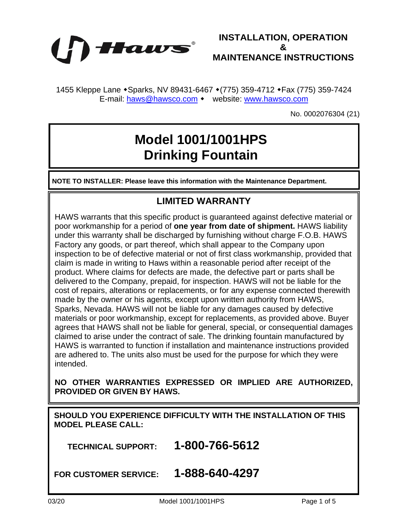

**INSTALLATION, OPERATION & MAINTENANCE INSTRUCTIONS**

1455 Kleppe Lane • Sparks, NV 89431-6467 • (775) 359-4712 • Fax (775) 359-7424 E-mail: [haws@hawsco.com](mailto:haws@hawsco.com) • website: [www.hawsco.com](http://www.hawsco.com/)

No. 0002076304 (21)

## **Model 1001/1001HPS Drinking Fountain**

**NOTE TO INSTALLER: Please leave this information with the Maintenance Department.**

## **LIMITED WARRANTY**

HAWS warrants that this specific product is guaranteed against defective material or poor workmanship for a period of **one year from date of shipment.** HAWS liability under this warranty shall be discharged by furnishing without charge F.O.B. HAWS Factory any goods, or part thereof, which shall appear to the Company upon inspection to be of defective material or not of first class workmanship, provided that claim is made in writing to Haws within a reasonable period after receipt of the product. Where claims for defects are made, the defective part or parts shall be delivered to the Company, prepaid, for inspection. HAWS will not be liable for the cost of repairs, alterations or replacements, or for any expense connected therewith made by the owner or his agents, except upon written authority from HAWS, Sparks, Nevada. HAWS will not be liable for any damages caused by defective materials or poor workmanship, except for replacements, as provided above. Buyer agrees that HAWS shall not be liable for general, special, or consequential damages claimed to arise under the contract of sale. The drinking fountain manufactured by HAWS is warranted to function if installation and maintenance instructions provided are adhered to. The units also must be used for the purpose for which they were intended.

**NO OTHER WARRANTIES EXPRESSED OR IMPLIED ARE AUTHORIZED, PROVIDED OR GIVEN BY HAWS.**

**SHOULD YOU EXPERIENCE DIFFICULTY WITH THE INSTALLATION OF THIS MODEL PLEASE CALL:**

 **TECHNICAL SUPPORT: 1-800-766-5612**

**FOR CUSTOMER SERVICE: 1-888-640-4297**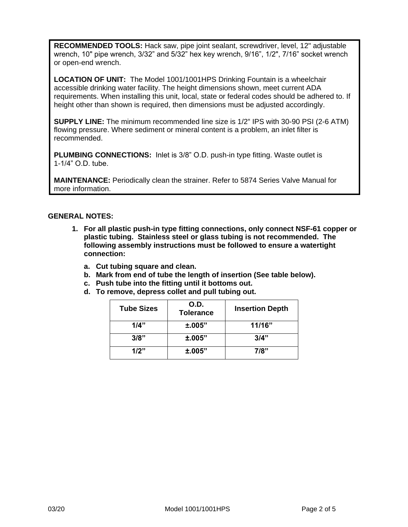**RECOMMENDED TOOLS:** Hack saw, pipe joint sealant, screwdriver, level, 12" adjustable wrench, 10" pipe wrench, 3/32" and 5/32" hex key wrench, 9/16", 1/2", 7/16" socket wrench or open-end wrench.

**LOCATION OF UNIT:** The Model 1001/1001HPS Drinking Fountain is a wheelchair accessible drinking water facility. The height dimensions shown, meet current ADA requirements. When installing this unit, local, state or federal codes should be adhered to. If height other than shown is required, then dimensions must be adjusted accordingly.

**SUPPLY LINE:** The minimum recommended line size is 1/2" IPS with 30-90 PSI (2-6 ATM) flowing pressure. Where sediment or mineral content is a problem, an inlet filter is recommended.

**PLUMBING CONNECTIONS:** Inlet is 3/8" O.D. push-in type fitting. Waste outlet is 1-1/4" O.D. tube.

**MAINTENANCE:** Periodically clean the strainer. Refer to 5874 Series Valve Manual for more information.

## **GENERAL NOTES:**

- **1. For all plastic push-in type fitting connections, only connect NSF-61 copper or plastic tubing. Stainless steel or glass tubing is not recommended. The following assembly instructions must be followed to ensure a watertight connection:**
	- **a. Cut tubing square and clean.**
	- **b. Mark from end of tube the length of insertion (See table below).**
	- **c. Push tube into the fitting until it bottoms out.**
	- **d. To remove, depress collet and pull tubing out.**

| <b>Tube Sizes</b> | O.D.<br><b>Tolerance</b> | <b>Insertion Depth</b> |
|-------------------|--------------------------|------------------------|
| 1/4"              | ±.005"                   | 11/16"                 |
| 3/8"              | ±.005"                   | 3/4"                   |
| 1/2"              | ±.005"                   | 7/8"                   |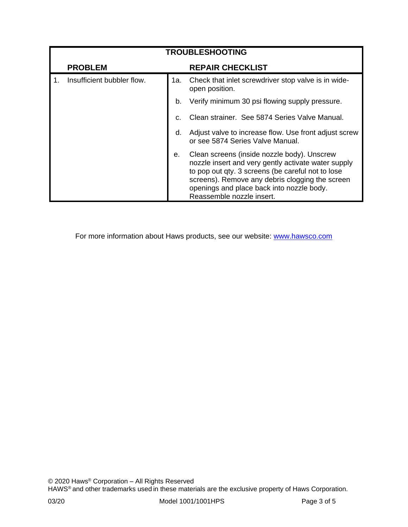| <b>TROUBLESHOOTING</b> |                            |     |                                                                                                                                                                                                                                                                                      |  |
|------------------------|----------------------------|-----|--------------------------------------------------------------------------------------------------------------------------------------------------------------------------------------------------------------------------------------------------------------------------------------|--|
|                        | <b>PROBLEM</b>             |     | <b>REPAIR CHECKLIST</b>                                                                                                                                                                                                                                                              |  |
|                        | Insufficient bubbler flow. | 1a. | Check that inlet screwdriver stop valve is in wide-<br>open position.                                                                                                                                                                                                                |  |
|                        |                            | b.  | Verify minimum 30 psi flowing supply pressure.                                                                                                                                                                                                                                       |  |
|                        |                            | C.  | Clean strainer. See 5874 Series Valve Manual.                                                                                                                                                                                                                                        |  |
|                        |                            | d.  | Adjust valve to increase flow. Use front adjust screw<br>or see 5874 Series Valve Manual.                                                                                                                                                                                            |  |
|                        |                            | е.  | Clean screens (inside nozzle body). Unscrew<br>nozzle insert and very gently activate water supply<br>to pop out qty. 3 screens (be careful not to lose<br>screens). Remove any debris clogging the screen<br>openings and place back into nozzle body.<br>Reassemble nozzle insert. |  |

For more information about Haws products, see our website: [www.hawsco.com](http://www.hawsco.com/)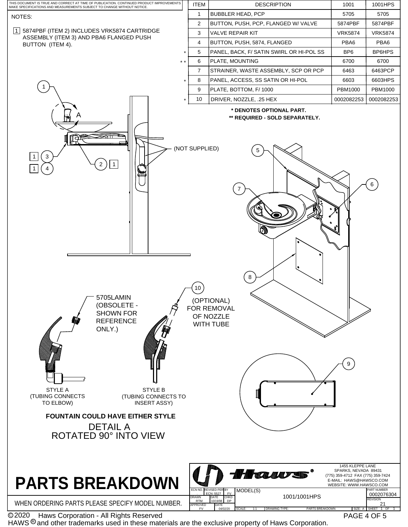

HAWS  $^{\circledR}$  and other trademarks used in these materials are the exclusive property of Haws Corporation.

PAGE 4 OF 5